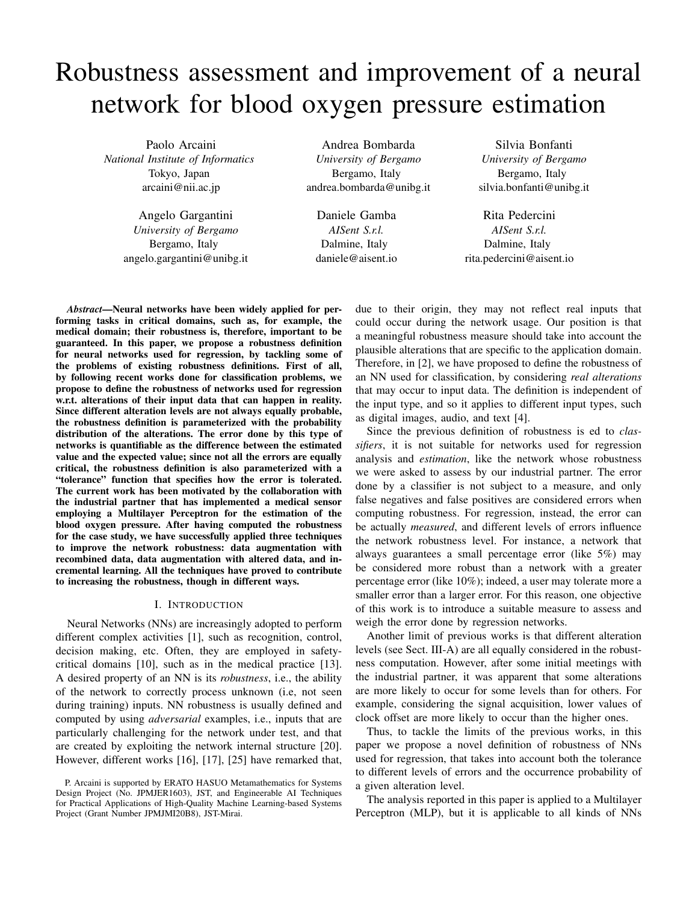# Robustness assessment and improvement of a neural network for blood oxygen pressure estimation

Paolo Arcaini *National Institute of Informatics* Tokyo, Japan arcaini@nii.ac.jp

> Angelo Gargantini *University of Bergamo* Bergamo, Italy angelo.gargantini@unibg.it

Andrea Bombarda *University of Bergamo* Bergamo, Italy andrea.bombarda@unibg.it

Daniele Gamba *AISent S.r.l.* Dalmine, Italy daniele@aisent.io

Silvia Bonfanti *University of Bergamo* Bergamo, Italy silvia.bonfanti@unibg.it

Rita Pedercini *AISent S.r.l.* Dalmine, Italy rita.pedercini@aisent.io

*Abstract*—Neural networks have been widely applied for performing tasks in critical domains, such as, for example, the medical domain; their robustness is, therefore, important to be guaranteed. In this paper, we propose a robustness definition for neural networks used for regression, by tackling some of the problems of existing robustness definitions. First of all, by following recent works done for classification problems, we propose to define the robustness of networks used for regression w.r.t. alterations of their input data that can happen in reality. Since different alteration levels are not always equally probable, the robustness definition is parameterized with the probability distribution of the alterations. The error done by this type of networks is quantifiable as the difference between the estimated value and the expected value; since not all the errors are equally critical, the robustness definition is also parameterized with a "tolerance" function that specifies how the error is tolerated. The current work has been motivated by the collaboration with the industrial partner that has implemented a medical sensor employing a Multilayer Perceptron for the estimation of the blood oxygen pressure. After having computed the robustness for the case study, we have successfully applied three techniques to improve the network robustness: data augmentation with recombined data, data augmentation with altered data, and incremental learning. All the techniques have proved to contribute to increasing the robustness, though in different ways.

# I. INTRODUCTION

Neural Networks (NNs) are increasingly adopted to perform different complex activities [\[1\]](#page-10-0), such as recognition, control, decision making, etc. Often, they are employed in safetycritical domains [\[10\]](#page-10-1), such as in the medical practice [\[13\]](#page-10-2). A desired property of an NN is its *robustness*, i.e., the ability of the network to correctly process unknown (i.e, not seen during training) inputs. NN robustness is usually defined and computed by using *adversarial* examples, i.e., inputs that are particularly challenging for the network under test, and that are created by exploiting the network internal structure [\[20\]](#page-10-3). However, different works [\[16\]](#page-10-4), [\[17\]](#page-10-5), [\[25\]](#page-10-6) have remarked that, due to their origin, they may not reflect real inputs that could occur during the network usage. Our position is that a meaningful robustness measure should take into account the plausible alterations that are specific to the application domain. Therefore, in [\[2\]](#page-10-7), we have proposed to define the robustness of an NN used for classification, by considering *real alterations* that may occur to input data. The definition is independent of the input type, and so it applies to different input types, such as digital images, audio, and text [\[4\]](#page-10-8).

Since the previous definition of robustness is ed to *classifiers*, it is not suitable for networks used for regression analysis and *estimation*, like the network whose robustness we were asked to assess by our industrial partner. The error done by a classifier is not subject to a measure, and only false negatives and false positives are considered errors when computing robustness. For regression, instead, the error can be actually *measured*, and different levels of errors influence the network robustness level. For instance, a network that always guarantees a small percentage error (like 5%) may be considered more robust than a network with a greater percentage error (like 10%); indeed, a user may tolerate more a smaller error than a larger error. For this reason, one objective of this work is to introduce a suitable measure to assess and weigh the error done by regression networks.

Another limit of previous works is that different alteration levels (see Sect. [III-A\)](#page-2-0) are all equally considered in the robustness computation. However, after some initial meetings with the industrial partner, it was apparent that some alterations are more likely to occur for some levels than for others. For example, considering the signal acquisition, lower values of clock offset are more likely to occur than the higher ones.

Thus, to tackle the limits of the previous works, in this paper we propose a novel definition of robustness of NNs used for regression, that takes into account both the tolerance to different levels of errors and the occurrence probability of a given alteration level.

The analysis reported in this paper is applied to a Multilayer Perceptron (MLP), but it is applicable to all kinds of NNs

P. Arcaini is supported by ERATO HASUO Metamathematics for Systems Design Project (No. JPMJER1603), JST, and Engineerable AI Techniques for Practical Applications of High-Quality Machine Learning-based Systems Project (Grant Number JPMJMI20B8), JST-Mirai.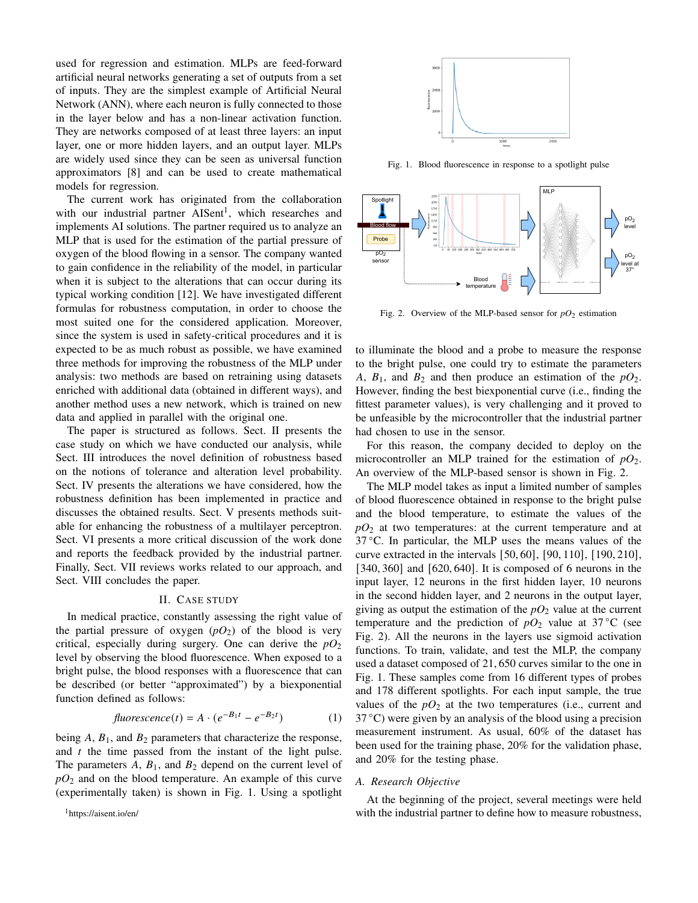used for regression and estimation. MLPs are feed-forward artificial neural networks generating a set of outputs from a set of inputs. They are the simplest example of Artificial Neural Network (ANN), where each neuron is fully connected to those in the layer below and has a non-linear activation function. They are networks composed of at least three layers: an input layer, one or more hidden layers, and an output layer. MLPs are widely used since they can be seen as universal function approximators [\[8\]](#page-10-9) and can be used to create mathematical models for regression.

The current work has originated from the collaboration with our industrial partner AISent<sup>[1](#page-1-0)</sup>, which researches and implements AI solutions. The partner required us to analyze an MLP that is used for the estimation of the partial pressure of oxygen of the blood flowing in a sensor. The company wanted to gain confidence in the reliability of the model, in particular when it is subject to the alterations that can occur during its typical working condition [\[12\]](#page-10-10). We have investigated different formulas for robustness computation, in order to choose the most suited one for the considered application. Moreover, since the system is used in safety-critical procedures and it is expected to be as much robust as possible, we have examined three methods for improving the robustness of the MLP under analysis: two methods are based on retraining using datasets enriched with additional data (obtained in different ways), and another method uses a new network, which is trained on new data and applied in parallel with the original one.

The paper is structured as follows. Sect. [II](#page-1-1) presents the case study on which we have conducted our analysis, while Sect. [III](#page-2-1) introduces the novel definition of robustness based on the notions of tolerance and alteration level probability. Sect. [IV](#page-4-0) presents the alterations we have considered, how the robustness definition has been implemented in practice and discusses the obtained results. Sect. [V](#page-7-0) presents methods suitable for enhancing the robustness of a multilayer perceptron. Sect. [VI](#page-9-0) presents a more critical discussion of the work done and reports the feedback provided by the industrial partner. Finally, Sect. [VII](#page-9-1) reviews works related to our approach, and Sect. [VIII](#page-9-2) concludes the paper.

## II. CASE STUDY

<span id="page-1-1"></span>In medical practice, constantly assessing the right value of the partial pressure of oxygen  $(pO_2)$  of the blood is very critical, especially during surgery. One can derive the  $pO_2$ level by observing the blood fluorescence. When exposed to a bright pulse, the blood responses with a fluorescence that can be described (or better "approximated") by a biexponential function defined as follows:

$$
\text{fluorescence}(t) = A \cdot (e^{-B_1 t} - e^{-B_2 t}) \tag{1}
$$

being  $A$ ,  $B_1$ , and  $B_2$  parameters that characterize the response, and  $t$  the time passed from the instant of the light pulse. The parameters  $A$ ,  $B_1$ , and  $B_2$  depend on the current level of  $pO_2$  and on the blood temperature. An example of this curve (experimentally taken) is shown in Fig. [1.](#page-1-2) Using a spotlight

<span id="page-1-0"></span><sup>1</sup><https://aisent.io/en/>



<span id="page-1-2"></span>Fig. 1. Blood fluorescence in response to a spotlight pulse



<span id="page-1-3"></span>Fig. 2. Overview of the MLP-based sensor for  $pO_2$  estimation

to illuminate the blood and a probe to measure the response to the bright pulse, one could try to estimate the parameters A,  $B_1$ , and  $B_2$  and then produce an estimation of the  $pO_2$ . However, finding the best biexponential curve (i.e., finding the fittest parameter values), is very challenging and it proved to be unfeasible by the microcontroller that the industrial partner had chosen to use in the sensor.

For this reason, the company decided to deploy on the microcontroller an MLP trained for the estimation of  $pQ_2$ . An overview of the MLP-based sensor is shown in Fig. [2.](#page-1-3)

The MLP model takes as input a limited number of samples of blood fluorescence obtained in response to the bright pulse and the blood temperature, to estimate the values of the *pO*<sup>2</sup> at two temperatures: at the current temperature and at 37 ◦C. In particular, the MLP uses the means values of the curve extracted in the intervals [50, 60], [90, 110], [190, 210], [340, 360] and [620, 640]. It is composed of 6 neurons in the input layer, 12 neurons in the first hidden layer, 10 neurons in the second hidden layer, and 2 neurons in the output layer, giving as output the estimation of the  $pO_2$  value at the current temperature and the prediction of  $pO_2$  value at 37 °C (see Fig. [2\)](#page-1-3). All the neurons in the layers use sigmoid activation functions. To train, validate, and test the MLP, the company used a dataset composed of 21, 650 curves similar to the one in Fig. [1.](#page-1-2) These samples come from 16 different types of probes and 178 different spotlights. For each input sample, the true values of the  $pO_2$  at the two temperatures (i.e., current and  $37^{\circ}$ C) were given by an analysis of the blood using a precision measurement instrument. As usual, 60% of the dataset has been used for the training phase, 20% for the validation phase, and 20% for the testing phase.

#### *A. Research Objective*

At the beginning of the project, several meetings were held with the industrial partner to define how to measure robustness,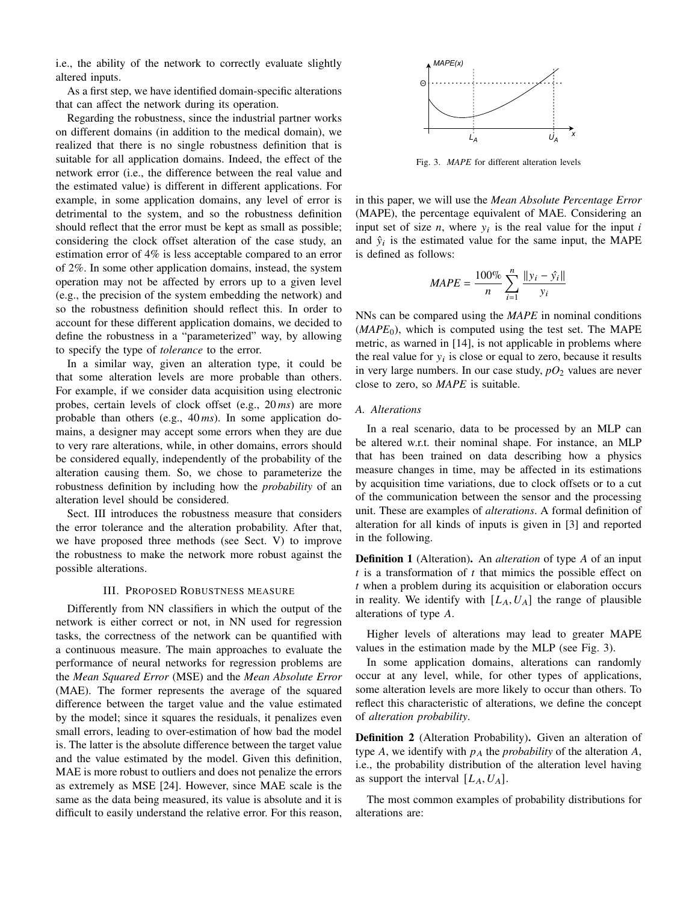i.e., the ability of the network to correctly evaluate slightly altered inputs.

As a first step, we have identified domain-specific alterations that can affect the network during its operation.

Regarding the robustness, since the industrial partner works on different domains (in addition to the medical domain), we realized that there is no single robustness definition that is suitable for all application domains. Indeed, the effect of the network error (i.e., the difference between the real value and the estimated value) is different in different applications. For example, in some application domains, any level of error is detrimental to the system, and so the robustness definition should reflect that the error must be kept as small as possible; considering the clock offset alteration of the case study, an estimation error of 4% is less acceptable compared to an error of 2%. In some other application domains, instead, the system operation may not be affected by errors up to a given level (e.g., the precision of the system embedding the network) and so the robustness definition should reflect this. In order to account for these different application domains, we decided to define the robustness in a "parameterized" way, by allowing to specify the type of *tolerance* to the error.

In a similar way, given an alteration type, it could be that some alteration levels are more probable than others. For example, if we consider data acquisition using electronic probes, certain levels of clock offset (e.g., 20 *ms*) are more probable than others (e.g., 40 *ms*). In some application domains, a designer may accept some errors when they are due to very rare alterations, while, in other domains, errors should be considered equally, independently of the probability of the alteration causing them. So, we chose to parameterize the robustness definition by including how the *probability* of an alteration level should be considered.

Sect. [III](#page-2-1) introduces the robustness measure that considers the error tolerance and the alteration probability. After that, we have proposed three methods (see Sect. [V\)](#page-7-0) to improve the robustness to make the network more robust against the possible alterations.

# III. PROPOSED ROBUSTNESS MEASURE

<span id="page-2-1"></span>Differently from NN classifiers in which the output of the network is either correct or not, in NN used for regression tasks, the correctness of the network can be quantified with a continuous measure. The main approaches to evaluate the performance of neural networks for regression problems are the *Mean Squared Error* (MSE) and the *Mean Absolute Error* (MAE). The former represents the average of the squared difference between the target value and the value estimated by the model; since it squares the residuals, it penalizes even small errors, leading to over-estimation of how bad the model is. The latter is the absolute difference between the target value and the value estimated by the model. Given this definition, MAE is more robust to outliers and does not penalize the errors as extremely as MSE [\[24\]](#page-10-11). However, since MAE scale is the same as the data being measured, its value is absolute and it is difficult to easily understand the relative error. For this reason,



<span id="page-2-2"></span>Fig. 3. *MAPE* for different alteration levels

in this paper, we will use the *Mean Absolute Percentage Error* (MAPE), the percentage equivalent of MAE. Considering an input set of size *n*, where  $y_i$  is the real value for the input *i* and  $\hat{y}_i$  is the estimated value for the same input, the MAPE is defined as follows:

$$
MAPE = \frac{100\%}{n} \sum_{i=1}^{n} \frac{||y_i - \hat{y_i}||}{y_i}
$$

NNs can be compared using the *MAPE* in nominal conditions  $(MAPE<sub>0</sub>)$ , which is computed using the test set. The MAPE metric, as warned in [\[14\]](#page-10-12), is not applicable in problems where the real value for  $y_i$  is close or equal to zero, because it results in very large numbers. In our case study,  $pO_2$  values are never close to zero, so *MAPE* is suitable.

#### <span id="page-2-0"></span>*A. Alterations*

In a real scenario, data to be processed by an MLP can be altered w.r.t. their nominal shape. For instance, an MLP that has been trained on data describing how a physics measure changes in time, may be affected in its estimations by acquisition time variations, due to clock offsets or to a cut of the communication between the sensor and the processing unit. These are examples of *alterations*. A formal definition of alteration for all kinds of inputs is given in [\[3\]](#page-10-13) and reported in the following.

<span id="page-2-3"></span>**Definition 1** (Alteration). An *alteration* of type A of an input  $t$  is a transformation of  $t$  that mimics the possible effect on when a problem during its acquisition or elaboration occurs in reality. We identify with  $[L_A, U_A]$  the range of plausible alterations of type  $A$ .

Higher levels of alterations may lead to greater MAPE values in the estimation made by the MLP (see Fig. [3\)](#page-2-2).

In some application domains, alterations can randomly occur at any level, while, for other types of applications, some alteration levels are more likely to occur than others. To reflect this characteristic of alterations, we define the concept of *alteration probability*.

Definition 2 (Alteration Probability). Given an alteration of type  $A$ , we identify with  $p_A$  the *probability* of the alteration  $A$ , i.e., the probability distribution of the alteration level having as support the interval  $[L_A, U_A]$ .

The most common examples of probability distributions for alterations are: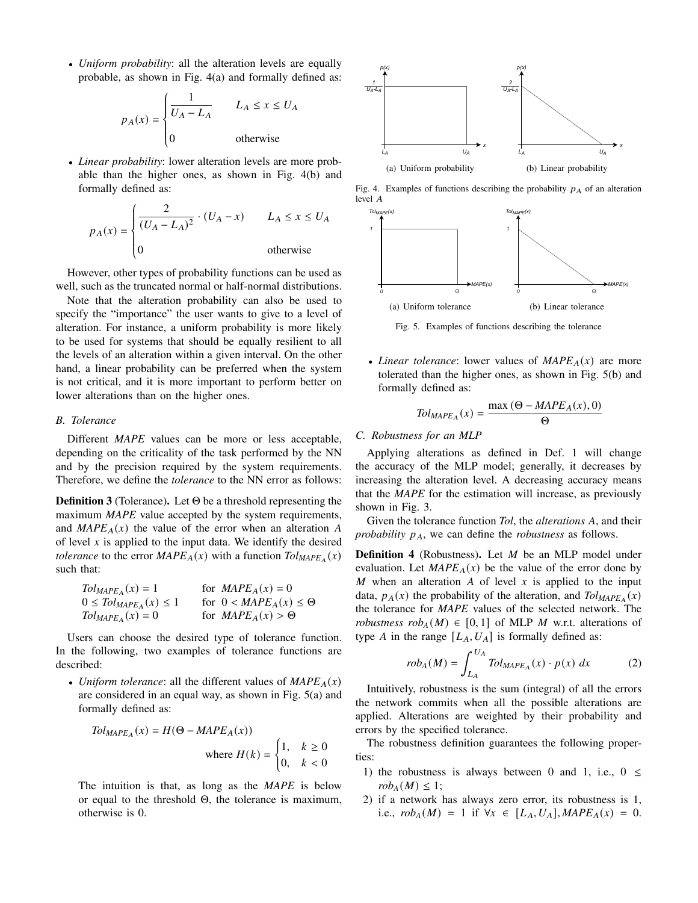• *Uniform probability*: all the alteration levels are equally probable, as shown in Fig. [4\(a\)](#page-3-0) and formally defined as:

$$
p_A(x) = \begin{cases} \frac{1}{U_A - L_A} & L_A \le x \le U_A \\ 0 & \text{otherwise} \end{cases}
$$

• *Linear probability*: lower alteration levels are more probable than the higher ones, as shown in Fig. [4\(b\)](#page-3-1) and formally defined as:

$$
p_A(x) = \begin{cases} \frac{2}{(U_A - L_A)^2} \cdot (U_A - x) & L_A \le x \le U_A \\ 0 & \text{otherwise} \end{cases}
$$

J. However, other types of probability functions can be used as well, such as the truncated normal or half-normal distributions.

Note that the alteration probability can also be used to specify the "importance" the user wants to give to a level of alteration. For instance, a uniform probability is more likely to be used for systems that should be equally resilient to all the levels of an alteration within a given interval. On the other hand, a linear probability can be preferred when the system is not critical, and it is more important to perform better on lower alterations than on the higher ones.

## *B. Tolerance*

Different *MAPE* values can be more or less acceptable, depending on the criticality of the task performed by the NN and by the precision required by the system requirements. Therefore, we define the *tolerance* to the NN error as follows:

Definition 3 (Tolerance). Let Θ be a threshold representing the maximum *MAPE* value accepted by the system requirements, and  $MAPE<sub>A</sub>(x)$  the value of the error when an alteration A of level  $x$  is applied to the input data. We identify the desired *tolerance* to the error  $MAPE_A(x)$  with a function  $Tol_{MAPE_A}(x)$ such that:

| $T_{\text{OLMAPE}_A}(x) = 1$    | for $MAPE_A(x) = 0$                                |
|---------------------------------|----------------------------------------------------|
| $0 \leq Tol_{MAPE_A}(x) \leq 1$ | for $0 < M_{\text{A}}PE_{\text{A}}(x) \leq \Theta$ |
| $T_{\text{OLMAPE}_A}(x) = 0$    | for $MAPE_A(x) > \Theta$                           |

Users can choose the desired type of tolerance function. In the following, two examples of tolerance functions are described:

• *Uniform tolerance*: all the different values of  $MAPE_A(x)$ are considered in an equal way, as shown in Fig. [5\(a\)](#page-3-2) and formally defined as:

$$
Tol_{MAPE_A}(x) = H(\Theta - MAPE_A(x))
$$
  
where  $H(k) = \begin{cases} 1, & k \ge 0 \\ 0, & k < 0 \end{cases}$ 

The intuition is that, as long as the *MAPE* is below or equal to the threshold Θ, the tolerance is maximum, otherwise is 0.

<span id="page-3-0"></span>

Fig. 4. Examples of functions describing the probability  $p_A$  of an alteration  $level A$ 

<span id="page-3-2"></span><span id="page-3-1"></span>

<span id="page-3-3"></span>Fig. 5. Examples of functions describing the tolerance

• *Linear tolerance*: lower values of  $MAPE<sub>A</sub>(x)$  are more tolerated than the higher ones, as shown in Fig. [5\(b\)](#page-3-3) and formally defined as:

$$
Tol_{MAPE_A}(x) = \frac{\max (\Theta - MAPE_A(x), 0)}{\Theta}
$$

#### *C. Robustness for an MLP*

Applying alterations as defined in Def. [1](#page-2-3) will change the accuracy of the MLP model; generally, it decreases by increasing the alteration level. A decreasing accuracy means that the *MAPE* for the estimation will increase, as previously shown in Fig. [3.](#page-2-2)

Given the tolerance function *Tol*, the *alterations* A, and their *probability*  $p_A$ , we can define the *robustness* as follows.

<span id="page-3-4"></span>**Definition 4** (Robustness). Let  $M$  be an MLP model under evaluation. Let  $MAPE<sub>A</sub>(x)$  be the value of the error done by  $M$  when an alteration  $A$  of level  $x$  is applied to the input data,  $p_A(x)$  the probability of the alteration, and  $Tol_{MAPE_A}(x)$ the tolerance for *MAPE* values of the selected network. The *robustness*  $rob_A(M) \in [0,1]$  of MLP *M* w.r.t. alterations of type A in the range  $[L_A, U_A]$  is formally defined as:

$$
rob_A(M) = \int_{L_A}^{U_A} Tol_{MAPE_A}(x) \cdot p(x) \, dx \tag{2}
$$

Intuitively, robustness is the sum (integral) of all the errors the network commits when all the possible alterations are applied. Alterations are weighted by their probability and errors by the specified tolerance.

The robustness definition guarantees the following properties:

- 1) the robustness is always between 0 and 1, i.e.,  $0 \le$  $rob_A(M) \leq 1$ ;
- 2) if a network has always zero error, its robustness is 1, i.e.,  $rob_A(M) = 1$  if  $\forall x \in [L_A, U_A]$ ,  $MAPE_A(x) = 0$ .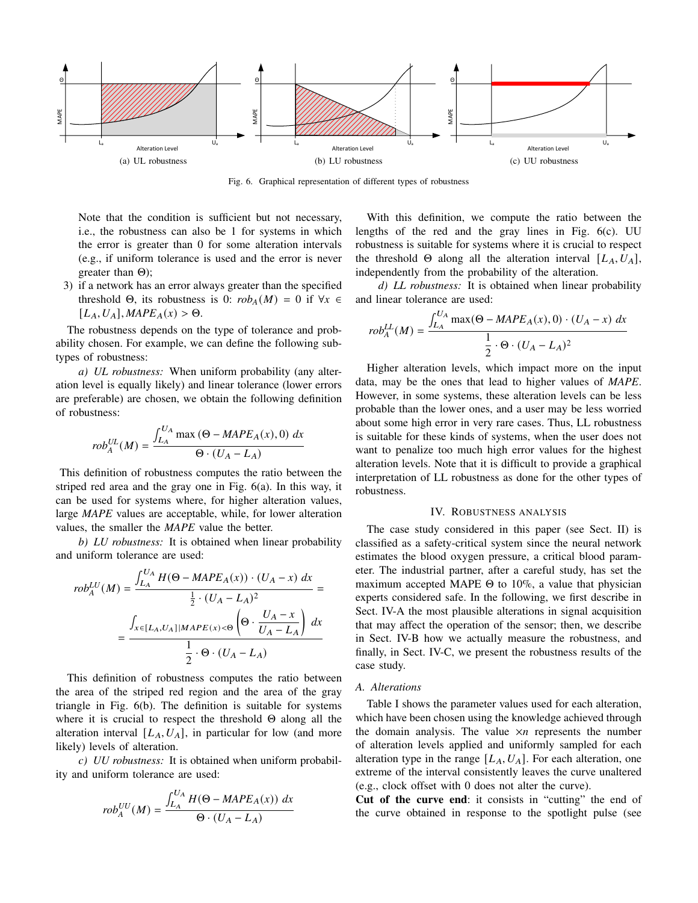<span id="page-4-1"></span>

<span id="page-4-2"></span>Fig. 6. Graphical representation of different types of robustness

Note that the condition is sufficient but not necessary, i.e., the robustness can also be 1 for systems in which the error is greater than 0 for some alteration intervals (e.g., if uniform tolerance is used and the error is never greater than Θ);

3) if a network has an error always greater than the specified threshold  $\Theta$ , its robustness is 0:  $rob_A(M) = 0$  if  $\forall x \in$  $[L_A, U_A], \text{MAPE}_A(x) > \Theta.$ 

The robustness depends on the type of tolerance and probability chosen. For example, we can define the following subtypes of robustness:

*a) UL robustness:* When uniform probability (any alteration level is equally likely) and linear tolerance (lower errors are preferable) are chosen, we obtain the following definition of robustness:

$$
rob_A^{UL}(M) = \frac{\int_{L_A}^{U_A} \max (\Theta - M A P E_A(x), 0) dx}{\Theta \cdot (U_A - L_A)}
$$

This definition of robustness computes the ratio between the striped red area and the gray one in Fig. [6\(a\).](#page-4-1) In this way, it can be used for systems where, for higher alteration values, large *MAPE* values are acceptable, while, for lower alteration values, the smaller the *MAPE* value the better.

*b) LU robustness:* It is obtained when linear probability and uniform tolerance are used:

∫

$$
rob_A^{LU}(M) = \frac{\int_{L_A}^{U_A} H(\Theta - M A P E_A(x)) \cdot (U_A - x) dx}{\frac{1}{2} \cdot (U_A - L_A)^2} = \frac{\int_{x \in [L_A, U_A] | M A P E(x) < \Theta} \left(\Theta \cdot \frac{U_A - x}{U_A - L_A}\right) dx}{\frac{1}{2} \cdot \Theta \cdot (U_A - L_A)}
$$

This definition of robustness computes the ratio between the area of the striped red region and the area of the gray triangle in Fig. [6\(b\).](#page-4-2) The definition is suitable for systems where it is crucial to respect the threshold  $\Theta$  along all the alteration interval  $[L_A, U_A]$ , in particular for low (and more likely) levels of alteration.

*c) UU robustness:* It is obtained when uniform probability and uniform tolerance are used:

$$
rob_A^{UU}(M) = \frac{\int_{L_A}^{U_A} H(\Theta - M A P E_A(x)) dx}{\Theta \cdot (U_A - L_A)}
$$

<span id="page-4-3"></span>With this definition, we compute the ratio between the lengths of the red and the gray lines in Fig. [6\(c\).](#page-4-3) UU robustness is suitable for systems where it is crucial to respect the threshold  $\Theta$  along all the alteration interval  $[L_A, U_A],$ independently from the probability of the alteration.

*d) LL robustness:* It is obtained when linear probability and linear tolerance are used:

$$
rob_A^{LL}(M) = \frac{\int_{L_A}^{U_A} \max(\Theta - MAPE_A(x), 0) \cdot (U_A - x) dx}{\frac{1}{2} \cdot \Theta \cdot (U_A - L_A)^2}
$$

Higher alteration levels, which impact more on the input data, may be the ones that lead to higher values of *MAPE*. However, in some systems, these alteration levels can be less probable than the lower ones, and a user may be less worried about some high error in very rare cases. Thus, LL robustness is suitable for these kinds of systems, when the user does not want to penalize too much high error values for the highest alteration levels. Note that it is difficult to provide a graphical interpretation of LL robustness as done for the other types of robustness.

## IV. ROBUSTNESS ANALYSIS

<span id="page-4-0"></span>The case study considered in this paper (see Sect. [II\)](#page-1-1) is classified as a safety-critical system since the neural network estimates the blood oxygen pressure, a critical blood parameter. The industrial partner, after a careful study, has set the maximum accepted MAPE  $\Theta$  to 10%, a value that physician experts considered safe. In the following, we first describe in Sect. [IV-A](#page-4-4) the most plausible alterations in signal acquisition that may affect the operation of the sensor; then, we describe in Sect. [IV-B](#page-5-0) how we actually measure the robustness, and finally, in Sect. [IV-C,](#page-6-0) we present the robustness results of the case study.

#### <span id="page-4-4"></span>*A. Alterations*

Table [I](#page-5-1) shows the parameter values used for each alteration, which have been chosen using the knowledge achieved through the domain analysis. The value  $\times n$  represents the number of alteration levels applied and uniformly sampled for each alteration type in the range  $[L_A, U_A]$ . For each alteration, one extreme of the interval consistently leaves the curve unaltered (e.g., clock offset with 0 does not alter the curve).

Cut of the curve end: it consists in "cutting" the end of the curve obtained in response to the spotlight pulse (see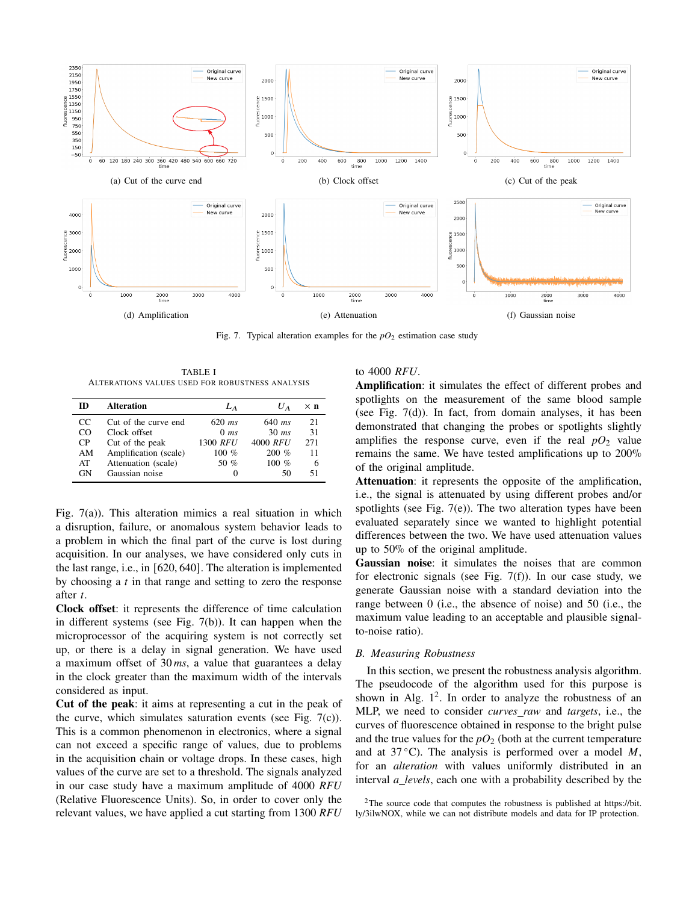<span id="page-5-2"></span>

<span id="page-5-6"></span><span id="page-5-3"></span>Fig. 7. Typical alteration examples for the  $pO_2$  estimation case study

<span id="page-5-5"></span>TABLE I ALTERATIONS VALUES USED FOR ROBUSTNESS ANALYSIS

<span id="page-5-1"></span>

| m   | <b>Alteration</b>     | $L_A$    | U A      | ×п  |
|-----|-----------------------|----------|----------|-----|
| CC. | Cut of the curve end  | $620$ ms | 640 $ms$ | 21  |
| CO  | Clock offset          | $0$ ms   | $30$ ms  | 31  |
| CP  | Cut of the peak       | 1300 RFU | 4000 RFU | 271 |
| AM  | Amplification (scale) | 100 $%$  | $200\%$  | 11  |
| AT  | Attenuation (scale)   | 50 %     | $100\%$  | 6   |
| GN  | Gaussian noise        |          | 50       | 51  |

Fig. [7\(a\)\)](#page-5-2). This alteration mimics a real situation in which a disruption, failure, or anomalous system behavior leads to a problem in which the final part of the curve is lost during acquisition. In our analyses, we have considered only cuts in the last range, i.e., in [620, 640]. The alteration is implemented by choosing a  $t$  in that range and setting to zero the response after t.

Clock offset: it represents the difference of time calculation in different systems (see Fig. [7\(b\)\)](#page-5-3). It can happen when the microprocessor of the acquiring system is not correctly set up, or there is a delay in signal generation. We have used a maximum offset of 30 *ms*, a value that guarantees a delay in the clock greater than the maximum width of the intervals considered as input.

Cut of the peak: it aims at representing a cut in the peak of the curve, which simulates saturation events (see Fig.  $7(c)$ ). This is a common phenomenon in electronics, where a signal can not exceed a specific range of values, due to problems in the acquisition chain or voltage drops. In these cases, high values of the curve are set to a threshold. The signals analyzed in our case study have a maximum amplitude of 4000 *RFU* (Relative Fluorescence Units). So, in order to cover only the relevant values, we have applied a cut starting from 1300 *RFU*

# <span id="page-5-7"></span><span id="page-5-4"></span>to 4000 *RFU*.

Amplification: it simulates the effect of different probes and spotlights on the measurement of the same blood sample (see Fig. [7\(d\)\)](#page-5-5). In fact, from domain analyses, it has been demonstrated that changing the probes or spotlights slightly amplifies the response curve, even if the real  $pO_2$  value remains the same. We have tested amplifications up to 200% of the original amplitude.

Attenuation: it represents the opposite of the amplification, i.e., the signal is attenuated by using different probes and/or spotlights (see Fig.  $7(e)$ ). The two alteration types have been evaluated separately since we wanted to highlight potential differences between the two. We have used attenuation values up to 50% of the original amplitude.

Gaussian noise: it simulates the noises that are common for electronic signals (see Fig.  $7(f)$ ). In our case study, we generate Gaussian noise with a standard deviation into the range between 0 (i.e., the absence of noise) and 50 (i.e., the maximum value leading to an acceptable and plausible signalto-noise ratio).

# <span id="page-5-0"></span>*B. Measuring Robustness*

In this section, we present the robustness analysis algorithm. The pseudocode of the algorithm used for this purpose is shown in Alg.  $1^2$  $1^2$ . In order to analyze the robustness of an MLP, we need to consider *curves raw* and *targets*, i.e., the curves of fluorescence obtained in response to the bright pulse and the true values for the  $pO_2$  (both at the current temperature and at 37 °C). The analysis is performed over a model  $M$ , for an *alteration* with values uniformly distributed in an interval *a levels*, each one with a probability described by the

<span id="page-5-8"></span><sup>&</sup>lt;sup>2</sup>The source code that computes the robustness is published at [https://bit.](https://bit.ly/3ilwNOX) [ly/3ilwNOX,](https://bit.ly/3ilwNOX) while we can not distribute models and data for IP protection.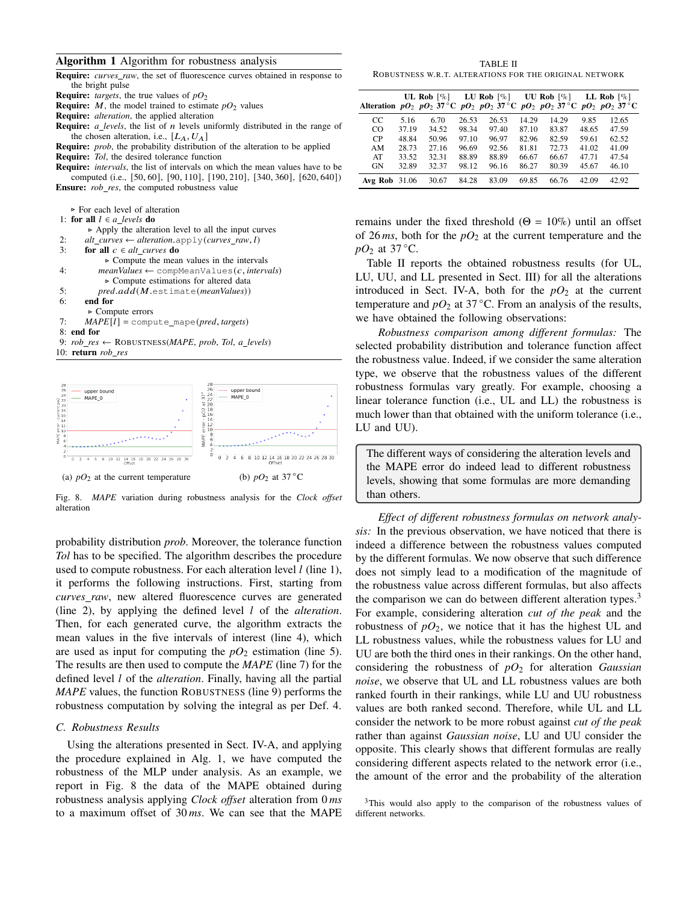#### <span id="page-6-1"></span>Algorithm 1 Algorithm for robustness analysis

| <b>Require:</b> <i>curves raw</i> , the set of fluorescence curves obtained in response to |
|--------------------------------------------------------------------------------------------|
| the bright pulse                                                                           |
| <b>Require:</b> <i>targets</i> , the true values of $pQ_2$                                 |
| <b>Require:</b> M, the model trained to estimate $pQ_2$ values                             |

Require: *alteration*, the applied alteration

**Require:**  $a_{\text{levels}}$ , the list of  $n$  levels uniformly distributed in the range of the chosen alteration, i.e.,  $[L_A, U_A]$ 

Require: *prob*, the probability distribution of the alteration to be applied Require: *Tol*, the desired tolerance function

Require: *intervals*, the list of intervals on which the mean values have to be computed (i.e., [50, 60], [90, 110], [190, 210], [340, 360], [620, 640]) Ensure: *rob res*, the computed robustness value

⊲ For each level of alteration

|    | Tul cacil icvei ul anefation                                           |
|----|------------------------------------------------------------------------|
|    | 1: for all $l \in a$ levels do                                         |
|    | $\triangleright$ Apply the alteration level to all the input curves    |
| 2: | alt curves $\leftarrow$ alteration.apply(curves raw, l)                |
| 3: | for all $c \in alt$ curves do                                          |
|    | $\triangleright$ Compute the mean values in the intervals              |
| 4: | $meanValues \leftarrow \text{compMeanValues}(c, intervals)$            |
|    | $\triangleright$ Compute estimations for altered data                  |
| 5: | pred.add(M.setimate(meanValues))                                       |
| 6: | end for                                                                |
|    | $\triangleright$ Compute errors                                        |
| 7: | $MAPE[l] = compute\_mape(pred, targets)$                               |
|    | $8:$ end for                                                           |
|    | 9: $rob\_res \leftarrow \text{ROBUSTNESS}(MAPE, prob, Tol, a\_levels)$ |
|    | 10: return <i>rob</i> res                                              |
|    |                                                                        |
|    |                                                                        |



<span id="page-6-2"></span>Fig. 8. *MAPE* variation during robustness analysis for the *Clock offset* alteration

probability distribution *prob*. Moreover, the tolerance function *Tol* has to be specified. The algorithm describes the procedure used to compute robustness. For each alteration level  $l$  (line [1\)](#page-6-1), it performs the following instructions. First, starting from *curves raw*, new altered fluorescence curves are generated (line [2\)](#page-6-1), by applying the defined level  $l$  of the *alteration*. Then, for each generated curve, the algorithm extracts the mean values in the five intervals of interest (line [4\)](#page-6-1), which are used as input for computing the  $pO_2$  estimation (line [5\)](#page-6-1). The results are then used to compute the *MAPE* (line [7\)](#page-6-1) for the defined level *l* of the *alteration*. Finally, having all the partial *MAPE* values, the function ROBUSTNESS (line [9\)](#page-6-1) performs the robustness computation by solving the integral as per Def. [4.](#page-3-4)

#### <span id="page-6-0"></span>*C. Robustness Results*

Using the alterations presented in Sect. [IV-A,](#page-4-4) and applying the procedure explained in Alg. [1,](#page-6-1) we have computed the robustness of the MLP under analysis. As an example, we report in Fig. [8](#page-6-2) the data of the MAPE obtained during robustness analysis applying *Clock offset* alteration from 0 *ms* to a maximum offset of 30 *ms*. We can see that the MAPE

<span id="page-6-3"></span>TABLE II ROBUSTNESS W.R.T. ALTERATIONS FOR THE ORIGINAL NETWORK

|                      |       | UL Rob $[\%]$<br>Alteration $pQ_2$ $pQ_2$ 37 °C $pQ_2$ $pQ_2$ 37 °C $pQ_2$ $pQ_2$ 37 °C $pQ_2$ $pQ_2$ 37 °C |       | LU Rob $[\%]$ |       | UU Rob $\lceil \% \rceil$ |       | LL Rob $[\%]$ |
|----------------------|-------|-------------------------------------------------------------------------------------------------------------|-------|---------------|-------|---------------------------|-------|---------------|
| CC.                  | 5.16  | 6.70                                                                                                        | 26.53 | 26.53         | 14.29 | 14.29                     | 9.85  | 12.65         |
| CO                   | 37.19 | 34.52                                                                                                       | 98.34 | 97.40         | 87.10 | 83.87                     | 48.65 | 47.59         |
| <b>CP</b>            | 48.84 | 50.96                                                                                                       | 97.10 | 96.97         | 82.96 | 82.59                     | 59.61 | 62.52         |
| AM                   | 28.73 | 27.16                                                                                                       | 96.69 | 92.56         | 81.81 | 72.73                     | 41.02 | 41.09         |
| AT                   | 33.52 | 32.31                                                                                                       | 88.89 | 88.89         | 66.67 | 66.67                     | 47.71 | 47.54         |
| <b>GN</b>            | 32.89 | 32.37                                                                                                       | 98.12 | 96.16         | 86.27 | 80.39                     | 45.67 | 46.10         |
| <b>Avg Rob</b> 31.06 |       | 30.67                                                                                                       | 84.28 | 83.09         | 69.85 | 66.76                     | 42.09 | 42.92         |

remains under the fixed threshold ( $\Theta = 10\%$ ) until an offset of 26  $ms$ , both for the  $pO_2$  at the current temperature and the  $pO_2$  at 37 °C.

Table [II](#page-6-3) reports the obtained robustness results (for UL, LU, UU, and LL presented in Sect. [III\)](#page-2-1) for all the alterations introduced in Sect. [IV-A,](#page-4-4) both for the  $pO_2$  at the current temperature and  $pO_2$  at 37 °C. From an analysis of the results, we have obtained the following observations:

*Robustness comparison among different formulas:* The selected probability distribution and tolerance function affect the robustness value. Indeed, if we consider the same alteration type, we observe that the robustness values of the different robustness formulas vary greatly. For example, choosing a linear tolerance function (i.e., UL and LL) the robustness is much lower than that obtained with the uniform tolerance (i.e., LU and UU).

The different ways of considering the alteration levels and the MAPE error do indeed lead to different robustness levels, showing that some formulas are more demanding than others.

*Effect of different robustness formulas on network analysis:* In the previous observation, we have noticed that there is indeed a difference between the robustness values computed by the different formulas. We now observe that such difference does not simply lead to a modification of the magnitude of the robustness value across different formulas, but also affects the comparison we can do between different alteration types.<sup>[3](#page-6-4)</sup> For example, considering alteration *cut of the peak* and the robustness of  $pO_2$ , we notice that it has the highest UL and LL robustness values, while the robustness values for LU and UU are both the third ones in their rankings. On the other hand, considering the robustness of *pO*<sup>2</sup> for alteration *Gaussian noise*, we observe that UL and LL robustness values are both ranked fourth in their rankings, while LU and UU robustness values are both ranked second. Therefore, while UL and LL consider the network to be more robust against *cut of the peak* rather than against *Gaussian noise*, LU and UU consider the opposite. This clearly shows that different formulas are really considering different aspects related to the network error (i.e., the amount of the error and the probability of the alteration

<span id="page-6-4"></span><sup>&</sup>lt;sup>3</sup>This would also apply to the comparison of the robustness values of different networks.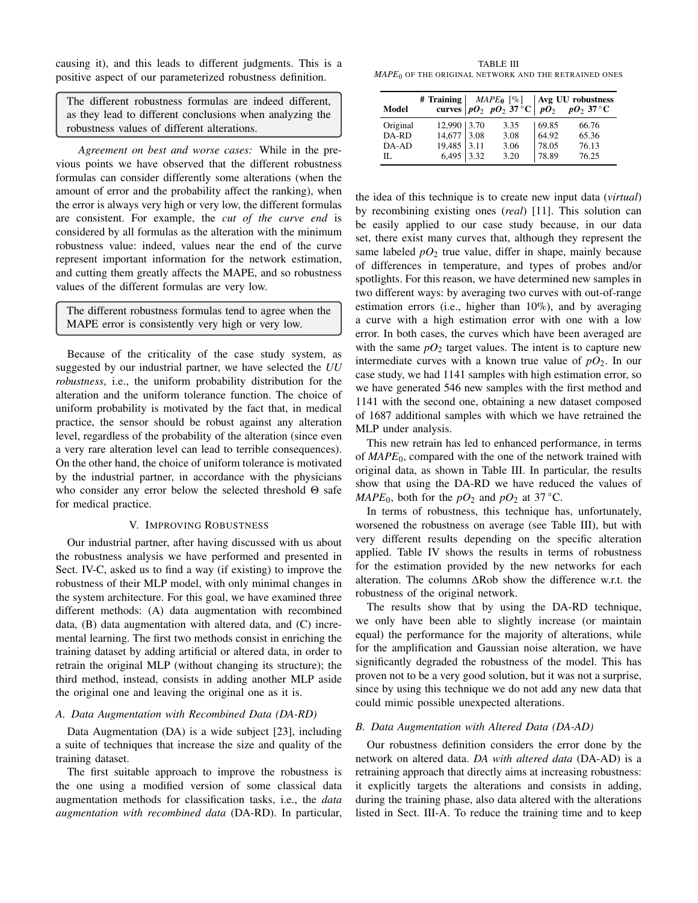causing it), and this leads to different judgments. This is a positive aspect of our parameterized robustness definition.

The different robustness formulas are indeed different, as they lead to different conclusions when analyzing the robustness values of different alterations.

*Agreement on best and worse cases:* While in the previous points we have observed that the different robustness formulas can consider differently some alterations (when the amount of error and the probability affect the ranking), when the error is always very high or very low, the different formulas are consistent. For example, the *cut of the curve end* is considered by all formulas as the alteration with the minimum robustness value: indeed, values near the end of the curve represent important information for the network estimation, and cutting them greatly affects the MAPE, and so robustness values of the different formulas are very low.

The different robustness formulas tend to agree when the MAPE error is consistently very high or very low.

Because of the criticality of the case study system, as suggested by our industrial partner, we have selected the *UU robustness*, i.e., the uniform probability distribution for the alteration and the uniform tolerance function. The choice of uniform probability is motivated by the fact that, in medical practice, the sensor should be robust against any alteration level, regardless of the probability of the alteration (since even a very rare alteration level can lead to terrible consequences). On the other hand, the choice of uniform tolerance is motivated by the industrial partner, in accordance with the physicians who consider any error below the selected threshold Θ safe for medical practice.

## V. IMPROVING ROBUSTNESS

<span id="page-7-0"></span>Our industrial partner, after having discussed with us about the robustness analysis we have performed and presented in Sect. [IV-C,](#page-6-0) asked us to find a way (if existing) to improve the robustness of their MLP model, with only minimal changes in the system architecture. For this goal, we have examined three different methods: (A) data augmentation with recombined data, (B) data augmentation with altered data, and (C) incremental learning. The first two methods consist in enriching the training dataset by adding artificial or altered data, in order to retrain the original MLP (without changing its structure); the third method, instead, consists in adding another MLP aside the original one and leaving the original one as it is.

#### *A. Data Augmentation with Recombined Data (DA-RD)*

Data Augmentation (DA) is a wide subject [\[23\]](#page-10-14), including a suite of techniques that increase the size and quality of the training dataset.

The first suitable approach to improve the robustness is the one using a modified version of some classical data augmentation methods for classification tasks, i.e., the *data augmentation with recombined data* (DA-RD). In particular,

<span id="page-7-1"></span>TABLE III *MAPE*<sup>0</sup> OF THE ORIGINAL NETWORK AND THE RETRAINED ONES

| Model    | # Training  | curves $pO_2$ $pO_2$ 37 °C $pO_2$ $pO_2$ $pO_2$ 37 °C |        | <i>MAPE</i> <sup>0</sup> [%]   Avg UU robustness |
|----------|-------------|-------------------------------------------------------|--------|--------------------------------------------------|
| Original | 12,990 3.70 | 3.35                                                  | 69.85  | 66.76                                            |
| DA-RD    | 14,677 3.08 | 3.08                                                  | 64.92  | 65.36                                            |
| DA-AD    | 19,485 3.11 | 3.06                                                  | 178.05 | 76.13                                            |
| П.       | 6,495 3.32  | 3.20                                                  | 78.89  | 76.25                                            |

the idea of this technique is to create new input data (*virtual*) by recombining existing ones (*real*) [\[11\]](#page-10-15). This solution can be easily applied to our case study because, in our data set, there exist many curves that, although they represent the same labeled  $pO_2$  true value, differ in shape, mainly because of differences in temperature, and types of probes and/or spotlights. For this reason, we have determined new samples in two different ways: by averaging two curves with out-of-range estimation errors (i.e., higher than 10%), and by averaging a curve with a high estimation error with one with a low error. In both cases, the curves which have been averaged are with the same  $pO_2$  target values. The intent is to capture new intermediate curves with a known true value of  $pQ_2$ . In our case study, we had 1141 samples with high estimation error, so we have generated 546 new samples with the first method and 1141 with the second one, obtaining a new dataset composed of 1687 additional samples with which we have retrained the MLP under analysis.

This new retrain has led to enhanced performance, in terms of *MAPE*0, compared with the one of the network trained with original data, as shown in Table [III.](#page-7-1) In particular, the results show that using the DA-RD we have reduced the values of *MAPE*<sub>0</sub>, both for the  $pO_2$  and  $pO_2$  at 37 °C.

In terms of robustness, this technique has, unfortunately, worsened the robustness on average (see Table [III\)](#page-7-1), but with very different results depending on the specific alteration applied. Table [IV](#page-8-0) shows the results in terms of robustness for the estimation provided by the new networks for each alteration. The columns ΔRob show the difference w.r.t. the robustness of the original network.

The results show that by using the DA-RD technique, we only have been able to slightly increase (or maintain equal) the performance for the majority of alterations, while for the amplification and Gaussian noise alteration, we have significantly degraded the robustness of the model. This has proven not to be a very good solution, but it was not a surprise, since by using this technique we do not add any new data that could mimic possible unexpected alterations.

## *B. Data Augmentation with Altered Data (DA-AD)*

Our robustness definition considers the error done by the network on altered data. *DA with altered data* (DA-AD) is a retraining approach that directly aims at increasing robustness: it explicitly targets the alterations and consists in adding, during the training phase, also data altered with the alterations listed in Sect. [III-A.](#page-2-0) To reduce the training time and to keep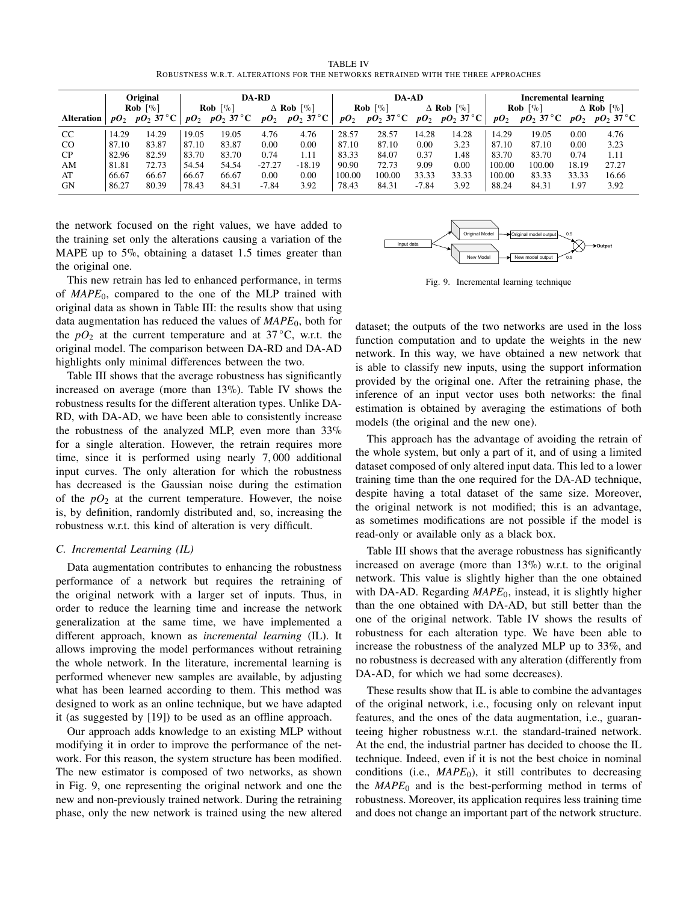TABLE IV ROBUSTNESS W.R.T. ALTERATIONS FOR THE NETWORKS RETRAINED WITH THE THREE APPROACHES

<span id="page-8-0"></span>

|               | <b>Original</b>               |                     | <b>DA-RD</b> |                        |          |                  | DA-AD                         |              |                  |                     | <b>Incremental learning</b> |              |                  |                     |
|---------------|-------------------------------|---------------------|--------------|------------------------|----------|------------------|-------------------------------|--------------|------------------|---------------------|-----------------------------|--------------|------------------|---------------------|
|               | <b>Rob</b> $\lceil \% \rceil$ |                     |              | Rob $\lceil \% \rceil$ |          | $\Delta$ Rob [%] | <b>Rob</b> $\lceil \% \rceil$ |              | $\Delta$ Rob [%] |                     | Rob $\lceil \% \rceil$      |              | $\Delta$ Rob [%] |                     |
| Alteration    |                               | $pO_2$ $pO_2$ 37 °C | $pO_2$       | $pO_2$ 37 °C           | $pO_2$   | $pO_2$ 37 °C     | $pO_2$                        | $pO_2$ 37 °C |                  | $pO_2$ $pO_2$ 37 °C | $pO_2$                      | $pO_2$ 37 °C |                  | $pO_2$ $pO_2$ 37 °C |
| CC            | 14.29                         | 14.29               | 19.05        | 19.05                  | 4.76     | 4.76             | 28.57                         | 28.57        | 14.28            | 14.28               | 14.29                       | 19.05        | 0.00             | 4.76                |
| <sub>CO</sub> | 87.10                         | 83.87               | 87.10        | 83.87                  | 0.00     | 0.00             | 87.10                         | 87.10        | 0.00             | 3.23                | 87.10                       | 87.10        | 0.00             | 3.23                |
| CP            | 82.96                         | 82.59               | 83.70        | 83.70                  | 0.74     | 1.11             | 83.33                         | 84.07        | 0.37             | 1.48                | 83.70                       | 83.70        | 0.74             | 1.11                |
| AM            | 81.81                         | 72.73               | 54.54        | 54.54                  | $-27.27$ | $-18.19$         | 90.90                         | 72.73        | 9.09             | 0.00                | 100.00                      | 100.00       | 18.19            | 27.27               |
| AT            | 66.67                         | 66.67               | 66.67        | 66.67                  | 0.00     | 0.00             | 100.00                        | 100.00       | 33.33            | 33.33               | 100.00                      | 83.33        | 33.33            | 16.66               |
| <b>GN</b>     | 86.27                         | 80.39               | 78.43        | 84.31                  | $-7.84$  | 3.92             | 78.43                         | 84.31        | $-7.84$          | 3.92                | 88.24                       | 84.31        | 1.97             | 3.92                |

the network focused on the right values, we have added to the training set only the alterations causing a variation of the MAPE up to 5%, obtaining a dataset 1.5 times greater than the original one.

This new retrain has led to enhanced performance, in terms of *MAPE*0, compared to the one of the MLP trained with original data as shown in Table [III:](#page-7-1) the results show that using data augmentation has reduced the values of *MAPE*0, both for the  $pO_2$  at the current temperature and at 37 °C, w.r.t. the original model. The comparison between DA-RD and DA-AD highlights only minimal differences between the two.

Table [III](#page-7-1) shows that the average robustness has significantly increased on average (more than 13%). Table [IV](#page-8-0) shows the robustness results for the different alteration types. Unlike DA-RD, with DA-AD, we have been able to consistently increase the robustness of the analyzed MLP, even more than 33% for a single alteration. However, the retrain requires more time, since it is performed using nearly 7, 000 additional input curves. The only alteration for which the robustness has decreased is the Gaussian noise during the estimation of the  $pO_2$  at the current temperature. However, the noise is, by definition, randomly distributed and, so, increasing the robustness w.r.t. this kind of alteration is very difficult.

# *C. Incremental Learning (IL)*

Data augmentation contributes to enhancing the robustness performance of a network but requires the retraining of the original network with a larger set of inputs. Thus, in order to reduce the learning time and increase the network generalization at the same time, we have implemented a different approach, known as *incremental learning* (IL). It allows improving the model performances without retraining the whole network. In the literature, incremental learning is performed whenever new samples are available, by adjusting what has been learned according to them. This method was designed to work as an online technique, but we have adapted it (as suggested by [\[19\]](#page-10-16)) to be used as an offline approach.

Our approach adds knowledge to an existing MLP without modifying it in order to improve the performance of the network. For this reason, the system structure has been modified. The new estimator is composed of two networks, as shown in Fig. [9,](#page-8-1) one representing the original network and one the new and non-previously trained network. During the retraining phase, only the new network is trained using the new altered



<span id="page-8-1"></span>Fig. 9. Incremental learning technique

dataset; the outputs of the two networks are used in the loss function computation and to update the weights in the new network. In this way, we have obtained a new network that is able to classify new inputs, using the support information provided by the original one. After the retraining phase, the inference of an input vector uses both networks: the final estimation is obtained by averaging the estimations of both models (the original and the new one).

This approach has the advantage of avoiding the retrain of the whole system, but only a part of it, and of using a limited dataset composed of only altered input data. This led to a lower training time than the one required for the DA-AD technique, despite having a total dataset of the same size. Moreover, the original network is not modified; this is an advantage, as sometimes modifications are not possible if the model is read-only or available only as a black box.

Table [III](#page-7-1) shows that the average robustness has significantly increased on average (more than 13%) w.r.t. to the original network. This value is slightly higher than the one obtained with DA-AD. Regarding *MAPE*<sub>0</sub>, instead, it is slightly higher than the one obtained with DA-AD, but still better than the one of the original network. Table [IV](#page-8-0) shows the results of robustness for each alteration type. We have been able to increase the robustness of the analyzed MLP up to 33%, and no robustness is decreased with any alteration (differently from DA-AD, for which we had some decreases).

These results show that IL is able to combine the advantages of the original network, i.e., focusing only on relevant input features, and the ones of the data augmentation, i.e., guaranteeing higher robustness w.r.t. the standard-trained network. At the end, the industrial partner has decided to choose the IL technique. Indeed, even if it is not the best choice in nominal conditions (i.e.,  $MAPE<sub>0</sub>$ ), it still contributes to decreasing the  $MAPE<sub>0</sub>$  and is the best-performing method in terms of robustness. Moreover, its application requires less training time and does not change an important part of the network structure.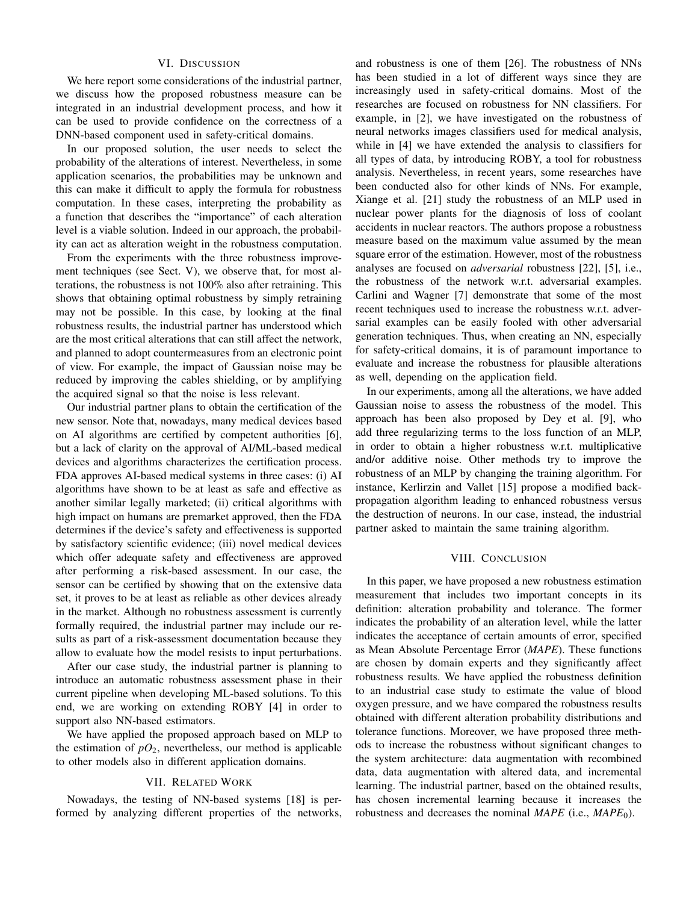## VI. DISCUSSION

<span id="page-9-0"></span>We here report some considerations of the industrial partner, we discuss how the proposed robustness measure can be integrated in an industrial development process, and how it can be used to provide confidence on the correctness of a DNN-based component used in safety-critical domains.

In our proposed solution, the user needs to select the probability of the alterations of interest. Nevertheless, in some application scenarios, the probabilities may be unknown and this can make it difficult to apply the formula for robustness computation. In these cases, interpreting the probability as a function that describes the "importance" of each alteration level is a viable solution. Indeed in our approach, the probability can act as alteration weight in the robustness computation.

From the experiments with the three robustness improvement techniques (see Sect. [V\)](#page-7-0), we observe that, for most alterations, the robustness is not 100% also after retraining. This shows that obtaining optimal robustness by simply retraining may not be possible. In this case, by looking at the final robustness results, the industrial partner has understood which are the most critical alterations that can still affect the network, and planned to adopt countermeasures from an electronic point of view. For example, the impact of Gaussian noise may be reduced by improving the cables shielding, or by amplifying the acquired signal so that the noise is less relevant.

Our industrial partner plans to obtain the certification of the new sensor. Note that, nowadays, many medical devices based on AI algorithms are certified by competent authorities [\[6\]](#page-10-17), but a lack of clarity on the approval of AI/ML-based medical devices and algorithms characterizes the certification process. FDA approves AI-based medical systems in three cases: (i) AI algorithms have shown to be at least as safe and effective as another similar legally marketed; (ii) critical algorithms with high impact on humans are premarket approved, then the FDA determines if the device's safety and effectiveness is supported by satisfactory scientific evidence; (iii) novel medical devices which offer adequate safety and effectiveness are approved after performing a risk-based assessment. In our case, the sensor can be certified by showing that on the extensive data set, it proves to be at least as reliable as other devices already in the market. Although no robustness assessment is currently formally required, the industrial partner may include our results as part of a risk-assessment documentation because they allow to evaluate how the model resists to input perturbations.

After our case study, the industrial partner is planning to introduce an automatic robustness assessment phase in their current pipeline when developing ML-based solutions. To this end, we are working on extending ROBY [\[4\]](#page-10-8) in order to support also NN-based estimators.

We have applied the proposed approach based on MLP to the estimation of  $pO_2$ , nevertheless, our method is applicable to other models also in different application domains.

## VII. RELATED WORK

<span id="page-9-1"></span>Nowadays, the testing of NN-based systems [\[18\]](#page-10-18) is performed by analyzing different properties of the networks, and robustness is one of them [\[26\]](#page-10-19). The robustness of NNs has been studied in a lot of different ways since they are increasingly used in safety-critical domains. Most of the researches are focused on robustness for NN classifiers. For example, in [\[2\]](#page-10-7), we have investigated on the robustness of neural networks images classifiers used for medical analysis, while in [\[4\]](#page-10-8) we have extended the analysis to classifiers for all types of data, by introducing ROBY, a tool for robustness analysis. Nevertheless, in recent years, some researches have been conducted also for other kinds of NNs. For example, Xiange et al. [\[21\]](#page-10-20) study the robustness of an MLP used in nuclear power plants for the diagnosis of loss of coolant accidents in nuclear reactors. The authors propose a robustness measure based on the maximum value assumed by the mean square error of the estimation. However, most of the robustness analyses are focused on *adversarial* robustness [\[22\]](#page-10-21), [\[5\]](#page-10-22), i.e., the robustness of the network w.r.t. adversarial examples. Carlini and Wagner [\[7\]](#page-10-23) demonstrate that some of the most recent techniques used to increase the robustness w.r.t. adversarial examples can be easily fooled with other adversarial generation techniques. Thus, when creating an NN, especially for safety-critical domains, it is of paramount importance to evaluate and increase the robustness for plausible alterations as well, depending on the application field.

In our experiments, among all the alterations, we have added Gaussian noise to assess the robustness of the model. This approach has been also proposed by Dey et al. [\[9\]](#page-10-24), who add three regularizing terms to the loss function of an MLP, in order to obtain a higher robustness w.r.t. multiplicative and/or additive noise. Other methods try to improve the robustness of an MLP by changing the training algorithm. For instance, Kerlirzin and Vallet [\[15\]](#page-10-25) propose a modified backpropagation algorithm leading to enhanced robustness versus the destruction of neurons. In our case, instead, the industrial partner asked to maintain the same training algorithm.

## VIII. CONCLUSION

<span id="page-9-2"></span>In this paper, we have proposed a new robustness estimation measurement that includes two important concepts in its definition: alteration probability and tolerance. The former indicates the probability of an alteration level, while the latter indicates the acceptance of certain amounts of error, specified as Mean Absolute Percentage Error (*MAPE*). These functions are chosen by domain experts and they significantly affect robustness results. We have applied the robustness definition to an industrial case study to estimate the value of blood oxygen pressure, and we have compared the robustness results obtained with different alteration probability distributions and tolerance functions. Moreover, we have proposed three methods to increase the robustness without significant changes to the system architecture: data augmentation with recombined data, data augmentation with altered data, and incremental learning. The industrial partner, based on the obtained results, has chosen incremental learning because it increases the robustness and decreases the nominal *MAPE* (i.e., *MAPE*0).